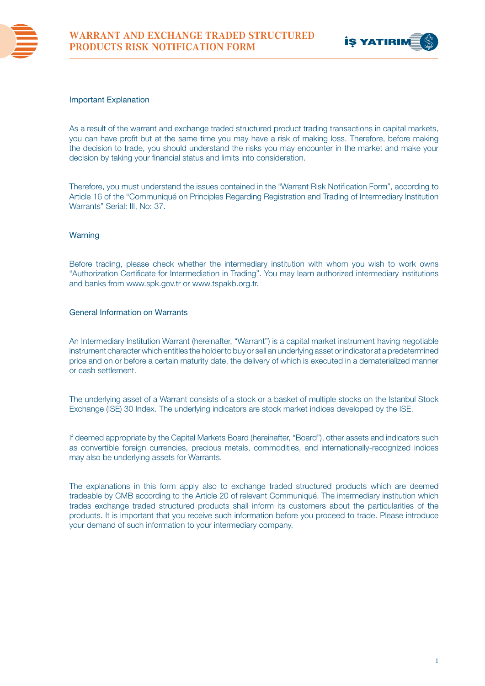



### Important Explanation

As a result of the warrant and exchange traded structured product trading transactions in capital markets, you can have profit but at the same time you may have a risk of making loss. Therefore, before making the decision to trade, you should understand the risks you may encounter in the market and make your decision by taking your financial status and limits into consideration.

Therefore, you must understand the issues contained in the "Warrant Risk Notification Form", according to Article 16 of the "Communiqué on Principles Regarding Registration and Trading of Intermediary Institution Warrants" Serial: III, No: 37.

## **Warning**

Before trading, please check whether the intermediary institution with whom you wish to work owns "Authorization Certificate for Intermediation in Trading". You may learn authorized intermediary institutions and banks from www.spk.gov.tr or www.tspakb.org.tr.

#### General Information on Warrants

An Intermediary Institution Warrant (hereinafter, "Warrant") is a capital market instrument having negotiable instrument character which entitles the holder to buy or sell an underlying asset or indicator at a predetermined price and on or before a certain maturity date, the delivery of which is executed in a dematerialized manner or cash settlement.

The underlying asset of a Warrant consists of a stock or a basket of multiple stocks on the Istanbul Stock Exchange (ISE) 30 Index. The underlying indicators are stock market indices developed by the ISE.

If deemed appropriate by the Capital Markets Board (hereinafter, "Board"), other assets and indicators such as convertible foreign currencies, precious metals, commodities, and internationally-recognized indices may also be underlying assets for Warrants.

The explanations in this form apply also to exchange traded structured products which are deemed tradeable by CMB according to the Article 20 of relevant Communiqué. The intermediary institution which trades exchange traded structured products shall inform its customers about the particularities of the products. It is important that you receive such information before you proceed to trade. Please introduce your demand of such information to your intermediary company.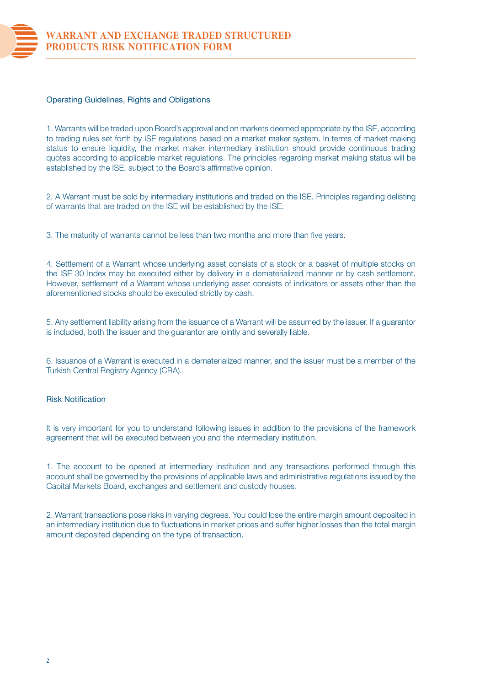

## Operating Guidelines, Rights and Obligations

1. Warrants will be traded upon Board's approval and on markets deemed appropriate by the ISE, according to trading rules set forth by ISE regulations based on a market maker system. In terms of market making status to ensure liquidity, the market maker intermediary institution should provide continuous trading quotes according to applicable market regulations. The principles regarding market making status will be established by the ISE, subject to the Board's affirmative opinion.

2. A Warrant must be sold by intermediary institutions and traded on the ISE. Principles regarding delisting of warrants that are traded on the ISE will be established by the ISE.

3. The maturity of warrants cannot be less than two months and more than five years.

4. Settlement of a Warrant whose underlying asset consists of a stock or a basket of multiple stocks on the ISE 30 Index may be executed either by delivery in a dematerialized manner or by cash settlement. However, settlement of a Warrant whose underlying asset consists of indicators or assets other than the aforementioned stocks should be executed strictly by cash.

5. Any settlement liability arising from the issuance of a Warrant will be assumed by the issuer. If a guarantor is included, both the issuer and the guarantor are jointly and severally liable.

6. Issuance of a Warrant is executed in a dematerialized manner, and the issuer must be a member of the Turkish Central Registry Agency (CRA).

# Risk Notification

It is very important for you to understand following issues in addition to the provisions of the framework agreement that will be executed between you and the intermediary institution.

1. The account to be opened at intermediary institution and any transactions performed through this account shall be governed by the provisions of applicable laws and administrative regulations issued by the Capital Markets Board, exchanges and settlement and custody houses.

2. Warrant transactions pose risks in varying degrees. You could lose the entire margin amount deposited in an intermediary institution due to fluctuations in market prices and suffer higher losses than the total margin amount deposited depending on the type of transaction.